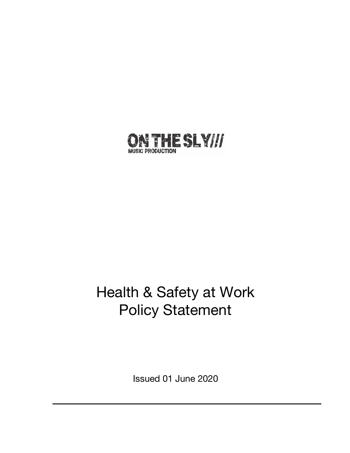

# Health & Safety at Work Policy Statement

Issued 01 June 2020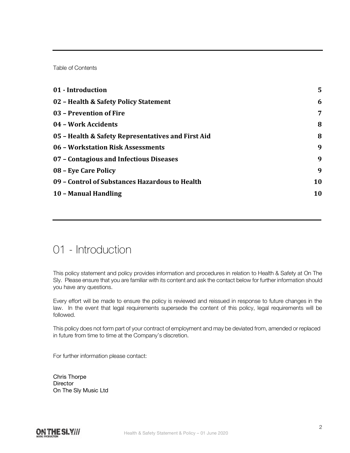Table of Contents

| 01 - Introduction                                  | 5  |
|----------------------------------------------------|----|
| 02 - Health & Safety Policy Statement              | 6  |
| 03 - Prevention of Fire                            | 7  |
| 04 - Work Accidents                                | 8  |
| 05 - Health & Safety Representatives and First Aid | 8  |
| 06 - Workstation Risk Assessments                  | 9  |
| 07 - Contagious and Infectious Diseases            | 9  |
| 08 - Eye Care Policy                               | 9  |
| 09 - Control of Substances Hazardous to Health     | 10 |
| 10 - Manual Handling                               | 10 |
|                                                    |    |

#### 01 - Introduction

This policy statement and policy provides information and procedures in relation to Health & Safety at On The Sly. Please ensure that you are familiar with its content and ask the contact below for further information should you have any questions.

Every effort will be made to ensure the policy is reviewed and reissued in response to future changes in the law. In the event that legal requirements supersede the content of this policy, legal requirements will be followed.

This policy does not form part of your contract of employment and may be deviated from, amended or replaced in future from time to time at the Company's discretion.

For further information please contact:

Chris Thorpe **Director** On The Sly Music Ltd

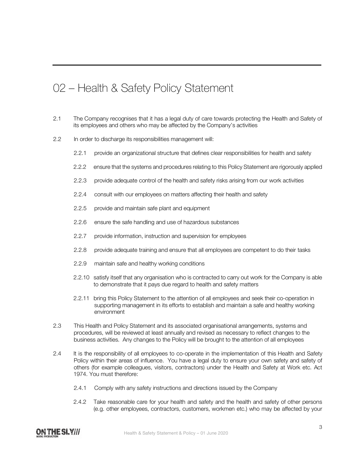# 02 – Health & Safety Policy Statement

- 2.1 The Company recognises that it has a legal duty of care towards protecting the Health and Safety of its employees and others who may be affected by the Company's activities
- 2.2 In order to discharge its responsibilities management will:
	- 2.2.1 provide an organizational structure that defines clear responsibilities for health and safety
	- 2.2.2 ensure that the systems and procedures relating to this Policy Statement are rigorously applied
	- 2.2.3 provide adequate control of the health and safety risks arising from our work activities
	- 2.2.4 consult with our employees on matters affecting their health and safety
	- 2.2.5 provide and maintain safe plant and equipment
	- 2.2.6 ensure the safe handling and use of hazardous substances
	- 2.2.7 provide information, instruction and supervision for employees
	- 2.2.8 provide adequate training and ensure that all employees are competent to do their tasks
	- 2.2.9 maintain safe and healthy working conditions
	- 2.2.10 satisfy itself that any organisation who is contracted to carry out work for the Company is able to demonstrate that it pays due regard to health and safety matters
	- 2.2.11 bring this Policy Statement to the attention of all employees and seek their co-operation in supporting management in its efforts to establish and maintain a safe and healthy working environment
- 2.3 This Health and Policy Statement and its associated organisational arrangements, systems and procedures, will be reviewed at least annually and revised as necessary to reflect changes to the business activities. Any changes to the Policy will be brought to the attention of all employees
- 2.4 It is the responsibility of all employees to co-operate in the implementation of this Health and Safety Policy within their areas of influence. You have a legal duty to ensure your own safety and safety of others (for example colleagues, visitors, contractors) under the Health and Safety at Work etc. Act 1974. You must therefore:
	- 2.4.1 Comply with any safety instructions and directions issued by the Company
	- 2.4.2 Take reasonable care for your health and safety and the health and safety of other persons (e.g. other employees, contractors, customers, workmen etc.) who may be affected by your

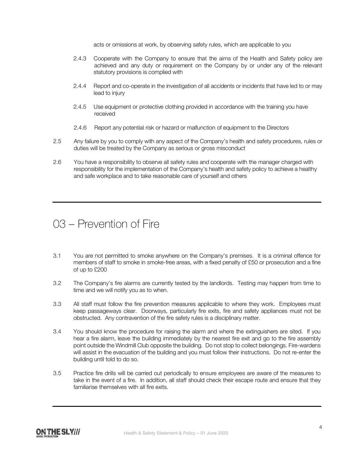acts or omissions at work, by observing safety rules, which are applicable to you

- 2.4.3 Cooperate with the Company to ensure that the aims of the Health and Safety policy are achieved and any duty or requirement on the Company by or under any of the relevant statutory provisions is complied with
- 2.4.4 Report and co-operate in the investigation of all accidents or incidents that have led to or may lead to injury
- 2.4.5 Use equipment or protective clothing provided in accordance with the training you have received
- 2.4.6 Report any potential risk or hazard or malfunction of equipment to the Directors
- 2.5 Any failure by you to comply with any aspect of the Company's health and safety procedures, rules or duties will be treated by the Company as serious or gross misconduct
- 2.6 You have a responsibility to observe all safety rules and cooperate with the manager charged with responsibility for the implementation of the Company's health and safety policy to achieve a healthy and safe workplace and to take reasonable care of yourself and others

# 03 – Prevention of Fire

- 3.1 You are not permitted to smoke anywhere on the Company's premises. It is a criminal offence for members of staff to smoke in smoke-free areas, with a fixed penalty of £50 or prosecution and a fine of up to £200
- 3.2 The Company's fire alarms are currently tested by the landlords. Testing may happen from time to time and we will notify you as to when.
- 3.3 All staff must follow the fire prevention measures applicable to where they work. Employees must keep passageways clear. Doorways, particularly fire exits, fire and safety appliances must not be obstructed. Any contravention of the fire safety rules is a disciplinary matter.
- 3.4 You should know the procedure for raising the alarm and where the extinguishers are sited. If you hear a fire alarm, leave the building immediately by the nearest fire exit and go to the fire assembly point outside the Windmill Club opposite the building. Do not stop to collect belongings. Fire-wardens will assist in the evacuation of the building and you must follow their instructions. Do not re-enter the building until told to do so.
- 3.5 Practice fire drills will be carried out periodically to ensure employees are aware of the measures to take in the event of a fire. In addition, all staff should check their escape route and ensure that they familiarise themselves with all fire exits.

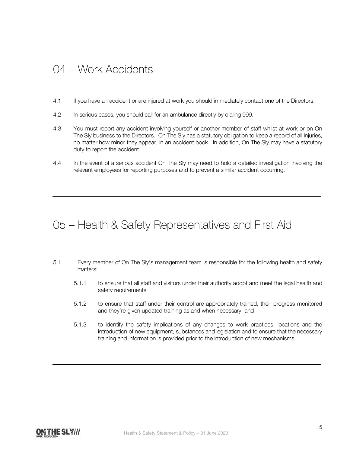#### 04 – Work Accidents

- 4.1 If you have an accident or are injured at work you should immediately contact one of the Directors.
- 4.2 In serious cases, you should call for an ambulance directly by dialing 999.
- 4.3 You must report any accident involving yourself or another member of staff whilst at work or on On The Sly business to the Directors. On The Sly has a statutory obligation to keep a record of all injuries, no matter how minor they appear, in an accident book. In addition, On The Sly may have a statutory duty to report the accident.
- 4.4 In the event of a serious accident On The Sly may need to hold a detailed investigation involving the relevant employees for reporting purposes and to prevent a similar accident occurring.

### 05 – Health & Safety Representatives and First Aid

- 5.1 Every member of On The Sly's management team is responsible for the following health and safety matters:
	- 5.1.1 to ensure that all staff and visitors under their authority adopt and meet the legal health and safety requirements
	- 5.1.2 to ensure that staff under their control are appropriately trained, their progress monitored and they're given updated training as and when necessary; and
	- 5.1.3 to identify the safety implications of any changes to work practices, locations and the introduction of new equipment, substances and legislation and to ensure that the necessary training and information is provided prior to the introduction of new mechanisms.

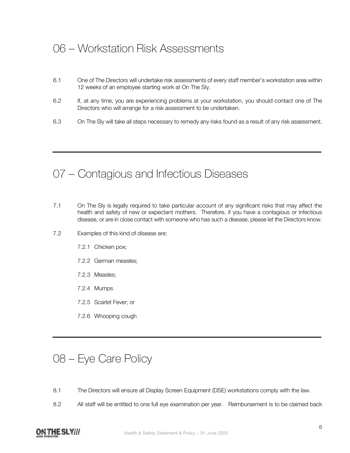### 06 – Workstation Risk Assessments

- 6.1 One of The Directors will undertake risk assessments of every staff member's workstation area within 12 weeks of an employee starting work at On The Sly.
- 6.2 If, at any time, you are experiencing problems at your workstation, you should contact one of The Directors who will arrange for a risk assessment to be undertaken.
- 6.3 On The Sly will take all steps necessary to remedy any risks found as a result of any risk assessment.

#### 07 – Contagious and Infectious Diseases

- 7.1 On The Sly is legally required to take particular account of any significant risks that may affect the health and safety of new or expectant mothers. Therefore, if you have a contagious or infectious disease, or are in close contact with someone who has such a disease, please let the Directors know.
- 7.2 Examples of this kind of disease are:
	- 7.2.1 Chicken pox;
	- 7.2.2 German measles;
	- 7.2.3 Measles;
	- 7.2.4 Mumps
	- 7.2.5 Scarlet Fever; or
	- 7.2.6 Whooping cough

#### 08 – Eye Care Policy

- 8.1 The Directors will ensure all Display Screen Equipment (DSE) workstations comply with the law.
- 8.2 All staff will be entitled to one full eye examination per year. Reimbursement is to be claimed back